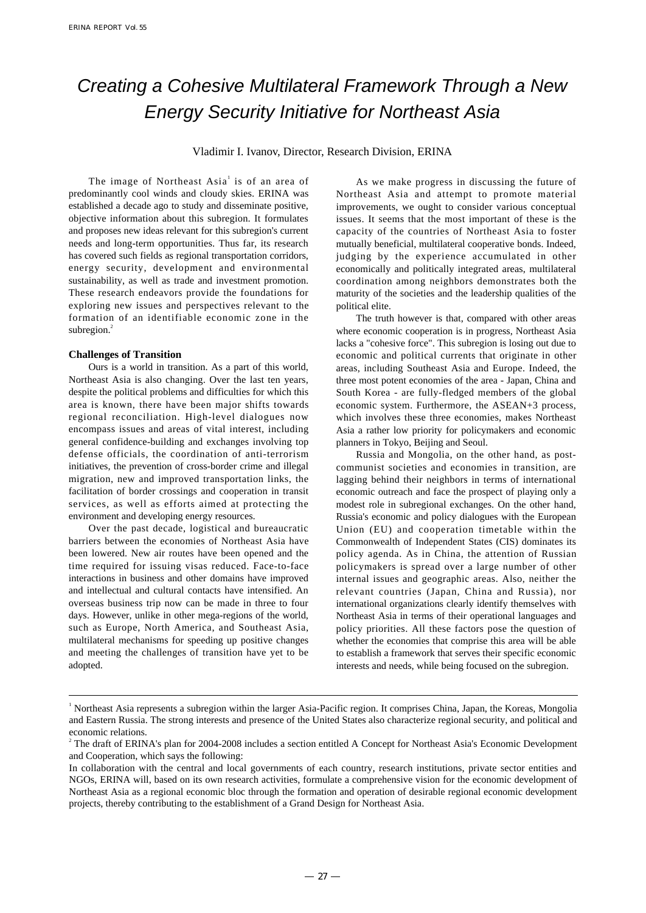# Creating a Cohesive Multilateral Framework Through a New Energy Security Initiative for Northeast Asia

Vladimir I. Ivanov, Director, Research Division, ERINA

The image of Northeast Asia<sup>1</sup> is of an area of predominantly cool winds and cloudy skies. ERINA was established a decade ago to study and disseminate positive, objective information about this subregion. It formulates and proposes new ideas relevant for this subregion's current needs and long-term opportunities. Thus far, its research has covered such fields as regional transportation corridors, energy security, development and environmental sustainability, as well as trade and investment promotion. These research endeavors provide the foundations for exploring new issues and perspectives relevant to the formation of an identifiable economic zone in the subregion. $2$ 

## **Challenges of Transition**

Ours is a world in transition. As a part of this world, Northeast Asia is also changing. Over the last ten years, despite the political problems and difficulties for which this area is known, there have been major shifts towards regional reconciliation. High-level dialogues now encompass issues and areas of vital interest, including general confidence-building and exchanges involving top defense officials, the coordination of anti-terrorism initiatives, the prevention of cross-border crime and illegal migration, new and improved transportation links, the facilitation of border crossings and cooperation in transit services, as well as efforts aimed at protecting the environment and developing energy resources.

Over the past decade, logistical and bureaucratic barriers between the economies of Northeast Asia have been lowered. New air routes have been opened and the time required for issuing visas reduced. Face-to-face interactions in business and other domains have improved and intellectual and cultural contacts have intensified. An overseas business trip now can be made in three to four days. However, unlike in other mega-regions of the world, such as Europe, North America, and Southeast Asia, multilateral mechanisms for speeding up positive changes and meeting the challenges of transition have yet to be adopted.

As we make progress in discussing the future of Northeast Asia and attempt to promote material improvements, we ought to consider various conceptual issues. It seems that the most important of these is the capacity of the countries of Northeast Asia to foster mutually beneficial, multilateral cooperative bonds. Indeed, judging by the experience accumulated in other economically and politically integrated areas, multilateral coordination among neighbors demonstrates both the maturity of the societies and the leadership qualities of the political elite.

The truth however is that, compared with other areas where economic cooperation is in progress, Northeast Asia lacks a "cohesive force". This subregion is losing out due to economic and political currents that originate in other areas, including Southeast Asia and Europe. Indeed, the three most potent economies of the area - Japan, China and South Korea - are fully-fledged members of the global economic system. Furthermore, the ASEAN+3 process, which involves these three economies, makes Northeast Asia a rather low priority for policymakers and economic planners in Tokyo, Beijing and Seoul.

Russia and Mongolia, on the other hand, as postcommunist societies and economies in transition, are lagging behind their neighbors in terms of international economic outreach and face the prospect of playing only a modest role in subregional exchanges. On the other hand, Russia's economic and policy dialogues with the European Union (EU) and cooperation timetable within the Commonwealth of Independent States (CIS) dominates its policy agenda. As in China, the attention of Russian policymakers is spread over a large number of other internal issues and geographic areas. Also, neither the relevant countries (Japan, China and Russia), nor international organizations clearly identify themselves with Northeast Asia in terms of their operational languages and policy priorities. All these factors pose the question of whether the economies that comprise this area will be able to establish a framework that serves their specific economic interests and needs, while being focused on the subregion.

<sup>&</sup>lt;sup>1</sup> Northeast Asia represents a subregion within the larger Asia-Pacific region. It comprises China, Japan, the Koreas, Mongolia and Eastern Russia. The strong interests and presence of the United States also characterize regional security, and political and economic relations.

<sup>&</sup>lt;sup>2</sup> The draft of ERINA's plan for 2004-2008 includes a section entitled A Concept for Northeast Asia's Economic Development and Cooperation, which says the following:

In collaboration with the central and local governments of each country, research institutions, private sector entities and NGOs, ERINA will, based on its own research activities, formulate a comprehensive vision for the economic development of Northeast Asia as a regional economic bloc through the formation and operation of desirable regional economic development projects, thereby contributing to the establishment of a Grand Design for Northeast Asia.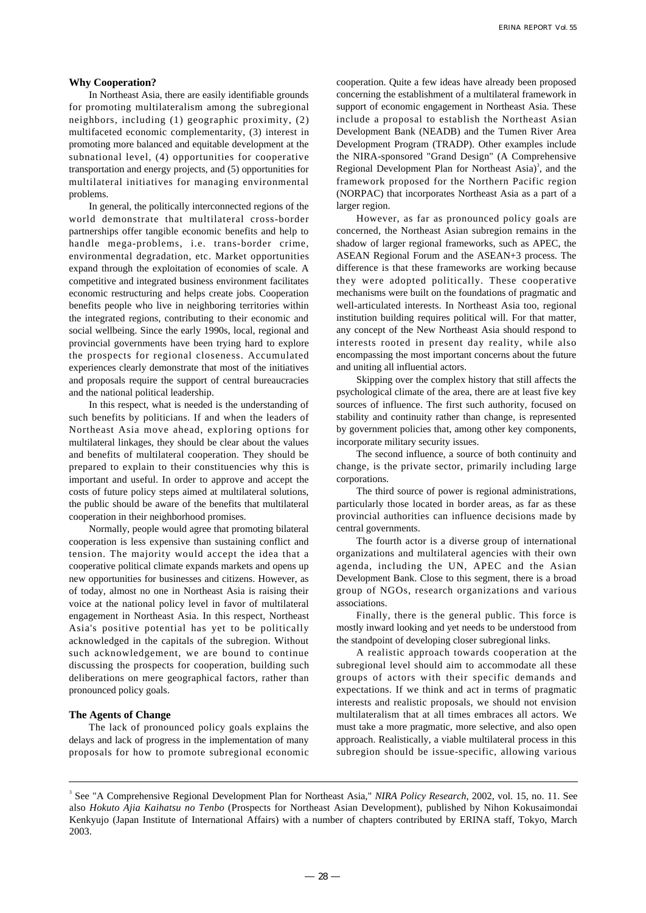## **Why Cooperation?**

In Northeast Asia, there are easily identifiable grounds for promoting multilateralism among the subregional neighbors, including (1) geographic proximity, (2) multifaceted economic complementarity, (3) interest in promoting more balanced and equitable development at the subnational level, (4) opportunities for cooperative transportation and energy projects, and (5) opportunities for multilateral initiatives for managing environmental problems.

In general, the politically interconnected regions of the world demonstrate that multilateral cross-border partnerships offer tangible economic benefits and help to handle mega-problems, i.e. trans-border crime, environmental degradation, etc. Market opportunities expand through the exploitation of economies of scale. A competitive and integrated business environment facilitates economic restructuring and helps create jobs. Cooperation benefits people who live in neighboring territories within the integrated regions, contributing to their economic and social wellbeing. Since the early 1990s, local, regional and provincial governments have been trying hard to explore the prospects for regional closeness. Accumulated experiences clearly demonstrate that most of the initiatives and proposals require the support of central bureaucracies and the national political leadership.

In this respect, what is needed is the understanding of such benefits by politicians. If and when the leaders of Northeast Asia move ahead, exploring options for multilateral linkages, they should be clear about the values and benefits of multilateral cooperation. They should be prepared to explain to their constituencies why this is important and useful. In order to approve and accept the costs of future policy steps aimed at multilateral solutions, the public should be aware of the benefits that multilateral cooperation in their neighborhood promises.

Normally, people would agree that promoting bilateral cooperation is less expensive than sustaining conflict and tension. The majority would accept the idea that a cooperative political climate expands markets and opens up new opportunities for businesses and citizens. However, as of today, almost no one in Northeast Asia is raising their voice at the national policy level in favor of multilateral engagement in Northeast Asia. In this respect, Northeast Asia's positive potential has yet to be politically acknowledged in the capitals of the subregion. Without such acknowledgement, we are bound to continue discussing the prospects for cooperation, building such deliberations on mere geographical factors, rather than pronounced policy goals.

## **The Agents of Change**

The lack of pronounced policy goals explains the delays and lack of progress in the implementation of many proposals for how to promote subregional economic cooperation. Quite a few ideas have already been proposed concerning the establishment of a multilateral framework in support of economic engagement in Northeast Asia. These include a proposal to establish the Northeast Asian Development Bank (NEADB) and the Tumen River Area Development Program (TRADP). Other examples include the NIRA-sponsored "Grand Design" (A Comprehensive Regional Development Plan for Northeast Asia)<sup>3</sup>, and the framework proposed for the Northern Pacific region (NORPAC) that incorporates Northeast Asia as a part of a larger region.

However, as far as pronounced policy goals are concerned, the Northeast Asian subregion remains in the shadow of larger regional frameworks, such as APEC, the ASEAN Regional Forum and the ASEAN+3 process. The difference is that these frameworks are working because they were adopted politically. These cooperative mechanisms were built on the foundations of pragmatic and well-articulated interests. In Northeast Asia too, regional institution building requires political will. For that matter, any concept of the New Northeast Asia should respond to interests rooted in present day reality, while also encompassing the most important concerns about the future and uniting all influential actors.

Skipping over the complex history that still affects the psychological climate of the area, there are at least five key sources of influence. The first such authority, focused on stability and continuity rather than change, is represented by government policies that, among other key components, incorporate military security issues.

The second influence, a source of both continuity and change, is the private sector, primarily including large corporations.

The third source of power is regional administrations, particularly those located in border areas, as far as these provincial authorities can influence decisions made by central governments.

The fourth actor is a diverse group of international organizations and multilateral agencies with their own agenda, including the UN, APEC and the Asian Development Bank. Close to this segment, there is a broad group of NGOs, research organizations and various associations.

Finally, there is the general public. This force is mostly inward looking and yet needs to be understood from the standpoint of developing closer subregional links.

A realistic approach towards cooperation at the subregional level should aim to accommodate all these groups of actors with their specific demands and expectations. If we think and act in terms of pragmatic interests and realistic proposals, we should not envision multilateralism that at all times embraces all actors. We must take a more pragmatic, more selective, and also open approach. Realistically, a viable multilateral process in this subregion should be issue-specific, allowing various

<sup>3</sup> See "A Comprehensive Regional Development Plan for Northeast Asia," *NIRA Policy Research*, 2002, vol. 15, no. 11. See also *Hokuto Ajia Kaihatsu no Tenbo* (Prospects for Northeast Asian Development), published by Nihon Kokusaimondai Kenkyujo (Japan Institute of International Affairs) with a number of chapters contributed by ERINA staff, Tokyo, March 2003.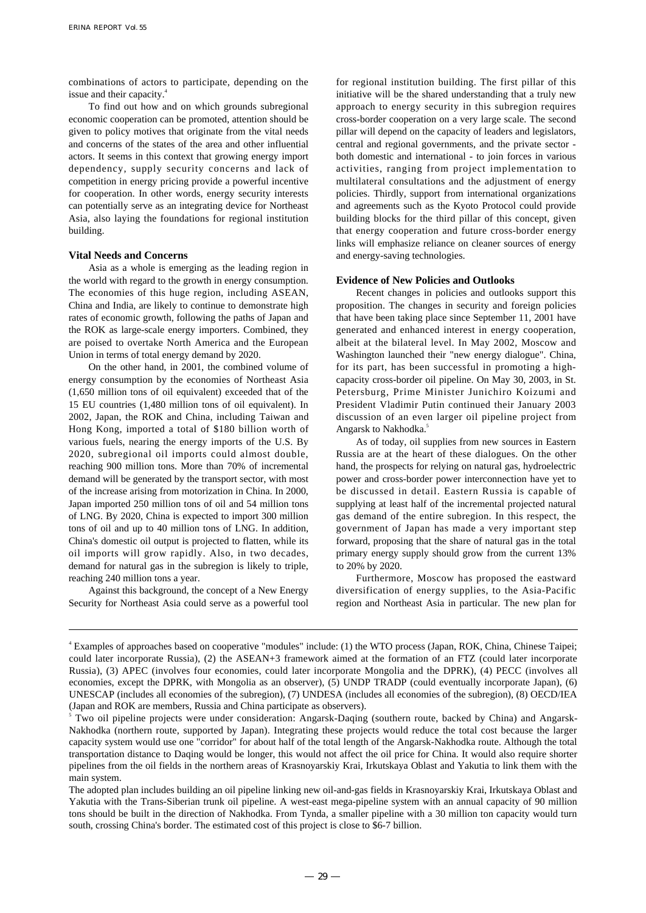combinations of actors to participate, depending on the issue and their capacity.<sup>4</sup>

To find out how and on which grounds subregional economic cooperation can be promoted, attention should be given to policy motives that originate from the vital needs and concerns of the states of the area and other influential actors. It seems in this context that growing energy import dependency, supply security concerns and lack of competition in energy pricing provide a powerful incentive for cooperation. In other words, energy security interests can potentially serve as an integrating device for Northeast Asia, also laying the foundations for regional institution building.

## **Vital Needs and Concerns**

Asia as a whole is emerging as the leading region in the world with regard to the growth in energy consumption. The economies of this huge region, including ASEAN, China and India, are likely to continue to demonstrate high rates of economic growth, following the paths of Japan and the ROK as large-scale energy importers. Combined, they are poised to overtake North America and the European Union in terms of total energy demand by 2020.

On the other hand, in 2001, the combined volume of energy consumption by the economies of Northeast Asia (1,650 million tons of oil equivalent) exceeded that of the 15 EU countries (1,480 million tons of oil equivalent). In 2002, Japan, the ROK and China, including Taiwan and Hong Kong, imported a total of \$180 billion worth of various fuels, nearing the energy imports of the U.S. By 2020, subregional oil imports could almost double, reaching 900 million tons. More than 70% of incremental demand will be generated by the transport sector, with most of the increase arising from motorization in China. In 2000, Japan imported 250 million tons of oil and 54 million tons of LNG. By 2020, China is expected to import 300 million tons of oil and up to 40 million tons of LNG. In addition, China's domestic oil output is projected to flatten, while its oil imports will grow rapidly. Also, in two decades, demand for natural gas in the subregion is likely to triple, reaching 240 million tons a year.

Against this background, the concept of a New Energy Security for Northeast Asia could serve as a powerful tool for regional institution building. The first pillar of this initiative will be the shared understanding that a truly new approach to energy security in this subregion requires cross-border cooperation on a very large scale. The second pillar will depend on the capacity of leaders and legislators, central and regional governments, and the private sector both domestic and international - to join forces in various activities, ranging from project implementation to multilateral consultations and the adjustment of energy policies. Thirdly, support from international organizations and agreements such as the Kyoto Protocol could provide building blocks for the third pillar of this concept, given that energy cooperation and future cross-border energy links will emphasize reliance on cleaner sources of energy and energy-saving technologies.

#### **Evidence of New Policies and Outlooks**

Recent changes in policies and outlooks support this proposition. The changes in security and foreign policies that have been taking place since September 11, 2001 have generated and enhanced interest in energy cooperation, albeit at the bilateral level. In May 2002, Moscow and Washington launched their "new energy dialogue". China, for its part, has been successful in promoting a highcapacity cross-border oil pipeline. On May 30, 2003, in St. Petersburg, Prime Minister Junichiro Koizumi and President Vladimir Putin continued their January 2003 discussion of an even larger oil pipeline project from Angarsk to Nakhodka.<sup>5</sup>

As of today, oil supplies from new sources in Eastern Russia are at the heart of these dialogues. On the other hand, the prospects for relying on natural gas, hydroelectric power and cross-border power interconnection have yet to be discussed in detail. Eastern Russia is capable of supplying at least half of the incremental projected natural gas demand of the entire subregion. In this respect, the government of Japan has made a very important step forward, proposing that the share of natural gas in the total primary energy supply should grow from the current 13% to 20% by 2020.

Furthermore, Moscow has proposed the eastward diversification of energy supplies, to the Asia-Pacific region and Northeast Asia in particular. The new plan for

<sup>4</sup> Examples of approaches based on cooperative "modules" include: (1) the WTO process (Japan, ROK, China, Chinese Taipei; could later incorporate Russia), (2) the ASEAN+3 framework aimed at the formation of an FTZ (could later incorporate Russia), (3) APEC (involves four economies, could later incorporate Mongolia and the DPRK), (4) PECC (involves all economies, except the DPRK, with Mongolia as an observer), (5) UNDP TRADP (could eventually incorporate Japan), (6) UNESCAP (includes all economies of the subregion), (7) UNDESA (includes all economies of the subregion), (8) OECD/IEA (Japan and ROK are members, Russia and China participate as observers).

<sup>5</sup> Two oil pipeline projects were under consideration: Angarsk-Daqing (southern route, backed by China) and Angarsk-Nakhodka (northern route, supported by Japan). Integrating these projects would reduce the total cost because the larger capacity system would use one "corridor" for about half of the total length of the Angarsk-Nakhodka route. Although the total transportation distance to Daqing would be longer, this would not affect the oil price for China. It would also require shorter pipelines from the oil fields in the northern areas of Krasnoyarskiy Krai, Irkutskaya Oblast and Yakutia to link them with the main system.

The adopted plan includes building an oil pipeline linking new oil-and-gas fields in Krasnoyarskiy Krai, Irkutskaya Oblast and Yakutia with the Trans-Siberian trunk oil pipeline. A west-east mega-pipeline system with an annual capacity of 90 million tons should be built in the direction of Nakhodka. From Tynda, a smaller pipeline with a 30 million ton capacity would turn south, crossing China's border. The estimated cost of this project is close to \$6-7 billion.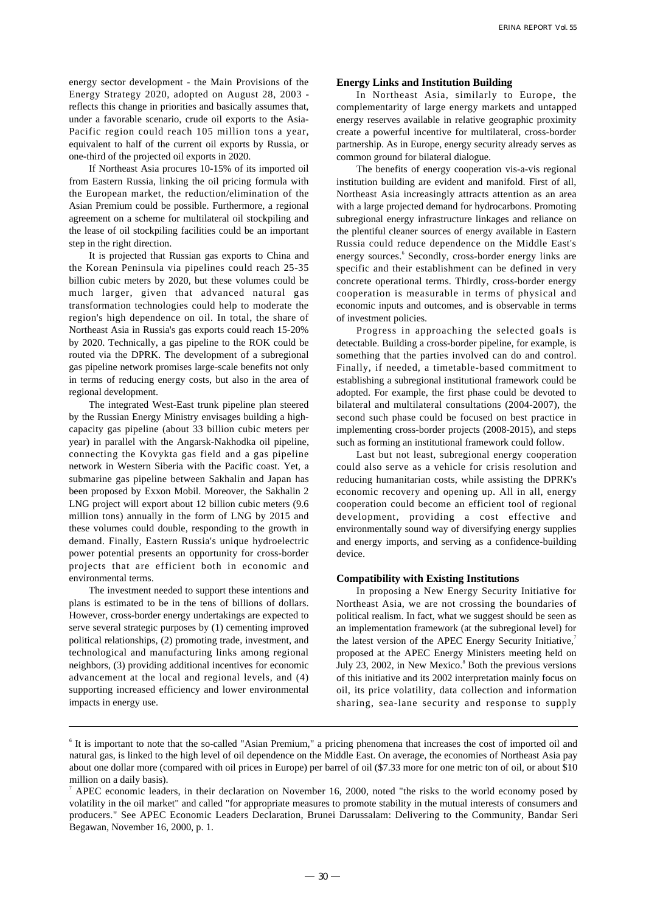energy sector development - the Main Provisions of the Energy Strategy 2020, adopted on August 28, 2003 reflects this change in priorities and basically assumes that, under a favorable scenario, crude oil exports to the Asia-Pacific region could reach 105 million tons a year, equivalent to half of the current oil exports by Russia, or one-third of the projected oil exports in 2020.

If Northeast Asia procures 10-15% of its imported oil from Eastern Russia, linking the oil pricing formula with the European market, the reduction/elimination of the Asian Premium could be possible. Furthermore, a regional agreement on a scheme for multilateral oil stockpiling and the lease of oil stockpiling facilities could be an important step in the right direction.

It is projected that Russian gas exports to China and the Korean Peninsula via pipelines could reach 25-35 billion cubic meters by 2020, but these volumes could be much larger, given that advanced natural gas transformation technologies could help to moderate the region's high dependence on oil. In total, the share of Northeast Asia in Russia's gas exports could reach 15-20% by 2020. Technically, a gas pipeline to the ROK could be routed via the DPRK. The development of a subregional gas pipeline network promises large-scale benefits not only in terms of reducing energy costs, but also in the area of regional development.

The integrated West-East trunk pipeline plan steered by the Russian Energy Ministry envisages building a highcapacity gas pipeline (about 33 billion cubic meters per year) in parallel with the Angarsk-Nakhodka oil pipeline, connecting the Kovykta gas field and a gas pipeline network in Western Siberia with the Pacific coast. Yet, a submarine gas pipeline between Sakhalin and Japan has been proposed by Exxon Mobil. Moreover, the Sakhalin 2 LNG project will export about 12 billion cubic meters (9.6 million tons) annually in the form of LNG by 2015 and these volumes could double, responding to the growth in demand. Finally, Eastern Russia's unique hydroelectric power potential presents an opportunity for cross-border projects that are efficient both in economic and environmental terms.

The investment needed to support these intentions and plans is estimated to be in the tens of billions of dollars. However, cross-border energy undertakings are expected to serve several strategic purposes by (1) cementing improved political relationships, (2) promoting trade, investment, and technological and manufacturing links among regional neighbors, (3) providing additional incentives for economic advancement at the local and regional levels, and (4) supporting increased efficiency and lower environmental impacts in energy use.

## **Energy Links and Institution Building**

In Northeast Asia, similarly to Europe, the complementarity of large energy markets and untapped energy reserves available in relative geographic proximity create a powerful incentive for multilateral, cross-border partnership. As in Europe, energy security already serves as common ground for bilateral dialogue.

The benefits of energy cooperation vis-a-vis regional institution building are evident and manifold. First of all, Northeast Asia increasingly attracts attention as an area with a large projected demand for hydrocarbons. Promoting subregional energy infrastructure linkages and reliance on the plentiful cleaner sources of energy available in Eastern Russia could reduce dependence on the Middle East's energy sources.<sup>6</sup> Secondly, cross-border energy links are specific and their establishment can be defined in very concrete operational terms. Thirdly, cross-border energy cooperation is measurable in terms of physical and economic inputs and outcomes, and is observable in terms of investment policies.

Progress in approaching the selected goals is detectable. Building a cross-border pipeline, for example, is something that the parties involved can do and control. Finally, if needed, a timetable-based commitment to establishing a subregional institutional framework could be adopted. For example, the first phase could be devoted to bilateral and multilateral consultations (2004-2007), the second such phase could be focused on best practice in implementing cross-border projects (2008-2015), and steps such as forming an institutional framework could follow.

Last but not least, subregional energy cooperation could also serve as a vehicle for crisis resolution and reducing humanitarian costs, while assisting the DPRK's economic recovery and opening up. All in all, energy cooperation could become an efficient tool of regional development, providing a cost effective and environmentally sound way of diversifying energy supplies and energy imports, and serving as a confidence-building device.

#### **Compatibility with Existing Institutions**

In proposing a New Energy Security Initiative for Northeast Asia, we are not crossing the boundaries of political realism. In fact, what we suggest should be seen as an implementation framework (at the subregional level) for the latest version of the APEC Energy Security Initiative,<sup>7</sup> proposed at the APEC Energy Ministers meeting held on July 23, 2002, in New Mexico.<sup>8</sup> Both the previous versions of this initiative and its 2002 interpretation mainly focus on oil, its price volatility, data collection and information sharing, sea-lane security and response to supply

<sup>&</sup>lt;sup>6</sup> It is important to note that the so-called "Asian Premium," a pricing phenomena that increases the cost of imported oil and natural gas, is linked to the high level of oil dependence on the Middle East. On average, the economies of Northeast Asia pay about one dollar more (compared with oil prices in Europe) per barrel of oil (\$7.33 more for one metric ton of oil, or about \$10 million on a daily basis).

<sup>7</sup> APEC economic leaders, in their declaration on November 16, 2000, noted "the risks to the world economy posed by volatility in the oil market" and called "for appropriate measures to promote stability in the mutual interests of consumers and producers." See APEC Economic Leaders Declaration, Brunei Darussalam: Delivering to the Community, Bandar Seri Begawan, November 16, 2000, p. 1.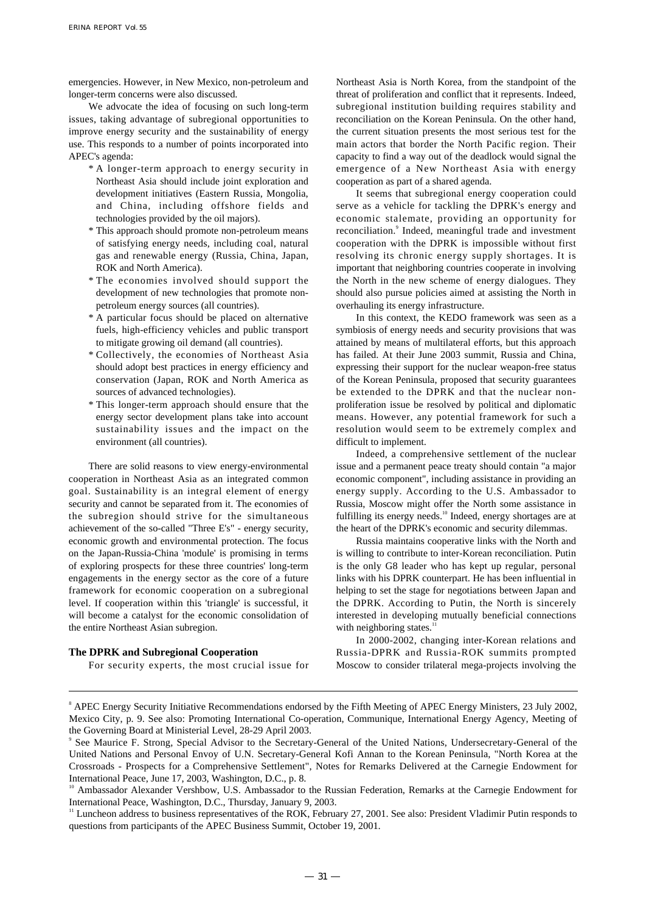emergencies. However, in New Mexico, non-petroleum and longer-term concerns were also discussed.

We advocate the idea of focusing on such long-term issues, taking advantage of subregional opportunities to improve energy security and the sustainability of energy use. This responds to a number of points incorporated into APEC's agenda:

- \* A longer-term approach to energy security in Northeast Asia should include joint exploration and development initiatives (Eastern Russia, Mongolia, and China, including offshore fields and technologies provided by the oil majors).
- \* This approach should promote non-petroleum means of satisfying energy needs, including coal, natural gas and renewable energy (Russia, China, Japan, ROK and North America).
- \* The economies involved should support the development of new technologies that promote nonpetroleum energy sources (all countries).
- \* A particular focus should be placed on alternative fuels, high-efficiency vehicles and public transport to mitigate growing oil demand (all countries).
- \* Collectively, the economies of Northeast Asia should adopt best practices in energy efficiency and conservation (Japan, ROK and North America as sources of advanced technologies).
- \* This longer-term approach should ensure that the energy sector development plans take into account sustainability issues and the impact on the environment (all countries).

There are solid reasons to view energy-environmental cooperation in Northeast Asia as an integrated common goal. Sustainability is an integral element of energy security and cannot be separated from it. The economies of the subregion should strive for the simultaneous achievement of the so-called "Three E's" - energy security, economic growth and environmental protection. The focus on the Japan-Russia-China 'module' is promising in terms of exploring prospects for these three countries' long-term engagements in the energy sector as the core of a future framework for economic cooperation on a subregional level. If cooperation within this 'triangle' is successful, it will become a catalyst for the economic consolidation of the entire Northeast Asian subregion.

## **The DPRK and Subregional Cooperation**

For security experts, the most crucial issue for

Northeast Asia is North Korea, from the standpoint of the threat of proliferation and conflict that it represents. Indeed, subregional institution building requires stability and reconciliation on the Korean Peninsula. On the other hand, the current situation presents the most serious test for the main actors that border the North Pacific region. Their capacity to find a way out of the deadlock would signal the emergence of a New Northeast Asia with energy cooperation as part of a shared agenda.

It seems that subregional energy cooperation could serve as a vehicle for tackling the DPRK's energy and economic stalemate, providing an opportunity for reconciliation.<sup>9</sup> Indeed, meaningful trade and investment cooperation with the DPRK is impossible without first resolving its chronic energy supply shortages. It is important that neighboring countries cooperate in involving the North in the new scheme of energy dialogues. They should also pursue policies aimed at assisting the North in overhauling its energy infrastructure.

In this context, the KEDO framework was seen as a symbiosis of energy needs and security provisions that was attained by means of multilateral efforts, but this approach has failed. At their June 2003 summit, Russia and China, expressing their support for the nuclear weapon-free status of the Korean Peninsula, proposed that security guarantees be extended to the DPRK and that the nuclear nonproliferation issue be resolved by political and diplomatic means. However, any potential framework for such a resolution would seem to be extremely complex and difficult to implement.

Indeed, a comprehensive settlement of the nuclear issue and a permanent peace treaty should contain "a major economic component", including assistance in providing an energy supply. According to the U.S. Ambassador to Russia, Moscow might offer the North some assistance in fulfilling its energy needs.<sup>10</sup> Indeed, energy shortages are at the heart of the DPRK's economic and security dilemmas.

Russia maintains cooperative links with the North and is willing to contribute to inter-Korean reconciliation. Putin is the only G8 leader who has kept up regular, personal links with his DPRK counterpart. He has been influential in helping to set the stage for negotiations between Japan and the DPRK. According to Putin, the North is sincerely interested in developing mutually beneficial connections with neighboring states.<sup>1</sup>

In 2000-2002, changing inter-Korean relations and Russia-DPRK and Russia-ROK summits prompted Moscow to consider trilateral mega-projects involving the

<sup>8</sup> APEC Energy Security Initiative Recommendations endorsed by the Fifth Meeting of APEC Energy Ministers, 23 July 2002, Mexico City, p. 9. See also: Promoting International Co-operation, Communique, International Energy Agency, Meeting of the Governing Board at Ministerial Level, 28-29 April 2003.

<sup>9</sup> See Maurice F. Strong, Special Advisor to the Secretary-General of the United Nations, Undersecretary-General of the United Nations and Personal Envoy of U.N. Secretary-General Kofi Annan to the Korean Peninsula, "North Korea at the Crossroads - Prospects for a Comprehensive Settlement", Notes for Remarks Delivered at the Carnegie Endowment for International Peace, June 17, 2003, Washington, D.C., p. 8.

<sup>&</sup>lt;sup>10</sup> Ambassador Alexander Vershbow, U.S. Ambassador to the Russian Federation, Remarks at the Carnegie Endowment for International Peace, Washington, D.C., Thursday, January 9, 2003.

<sup>&</sup>lt;sup>11</sup> Luncheon address to business representatives of the ROK, February 27, 2001. See also: President Vladimir Putin responds to questions from participants of the APEC Business Summit, October 19, 2001.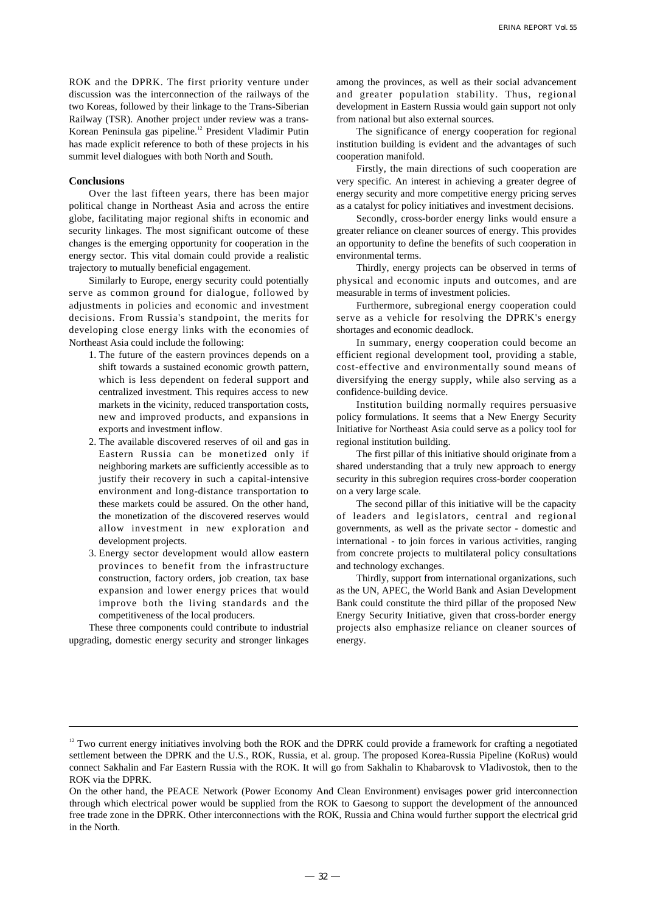ROK and the DPRK. The first priority venture under discussion was the interconnection of the railways of the two Koreas, followed by their linkage to the Trans-Siberian Railway (TSR). Another project under review was a trans-Korean Peninsula gas pipeline.<sup>12</sup> President Vladimir Putin has made explicit reference to both of these projects in his summit level dialogues with both North and South.

## **Conclusions**

Over the last fifteen years, there has been major political change in Northeast Asia and across the entire globe, facilitating major regional shifts in economic and security linkages. The most significant outcome of these changes is the emerging opportunity for cooperation in the energy sector. This vital domain could provide a realistic trajectory to mutually beneficial engagement.

Similarly to Europe, energy security could potentially serve as common ground for dialogue, followed by adjustments in policies and economic and investment decisions. From Russia's standpoint, the merits for developing close energy links with the economies of Northeast Asia could include the following:

- 1. The future of the eastern provinces depends on a shift towards a sustained economic growth pattern, which is less dependent on federal support and centralized investment. This requires access to new markets in the vicinity, reduced transportation costs, new and improved products, and expansions in exports and investment inflow.
- 2. The available discovered reserves of oil and gas in Eastern Russia can be monetized only if neighboring markets are sufficiently accessible as to justify their recovery in such a capital-intensive environment and long-distance transportation to these markets could be assured. On the other hand, the monetization of the discovered reserves would allow investment in new exploration and development projects.
- 3. Energy sector development would allow eastern provinces to benefit from the infrastructure construction, factory orders, job creation, tax base expansion and lower energy prices that would improve both the living standards and the competitiveness of the local producers.

These three components could contribute to industrial upgrading, domestic energy security and stronger linkages among the provinces, as well as their social advancement and greater population stability. Thus, regional development in Eastern Russia would gain support not only from national but also external sources.

The significance of energy cooperation for regional institution building is evident and the advantages of such cooperation manifold.

Firstly, the main directions of such cooperation are very specific. An interest in achieving a greater degree of energy security and more competitive energy pricing serves as a catalyst for policy initiatives and investment decisions.

Secondly, cross-border energy links would ensure a greater reliance on cleaner sources of energy. This provides an opportunity to define the benefits of such cooperation in environmental terms.

Thirdly, energy projects can be observed in terms of physical and economic inputs and outcomes, and are measurable in terms of investment policies.

Furthermore, subregional energy cooperation could serve as a vehicle for resolving the DPRK's energy shortages and economic deadlock.

In summary, energy cooperation could become an efficient regional development tool, providing a stable, cost-effective and environmentally sound means of diversifying the energy supply, while also serving as a confidence-building device.

Institution building normally requires persuasive policy formulations. It seems that a New Energy Security Initiative for Northeast Asia could serve as a policy tool for regional institution building.

The first pillar of this initiative should originate from a shared understanding that a truly new approach to energy security in this subregion requires cross-border cooperation on a very large scale.

The second pillar of this initiative will be the capacity of leaders and legislators, central and regional governments, as well as the private sector - domestic and international - to join forces in various activities, ranging from concrete projects to multilateral policy consultations and technology exchanges.

Thirdly, support from international organizations, such as the UN, APEC, the World Bank and Asian Development Bank could constitute the third pillar of the proposed New Energy Security Initiative, given that cross-border energy projects also emphasize reliance on cleaner sources of energy.

<sup>&</sup>lt;sup>12</sup> Two current energy initiatives involving both the ROK and the DPRK could provide a framework for crafting a negotiated settlement between the DPRK and the U.S., ROK, Russia, et al. group. The proposed Korea-Russia Pipeline (KoRus) would connect Sakhalin and Far Eastern Russia with the ROK. It will go from Sakhalin to Khabarovsk to Vladivostok, then to the ROK via the DPRK.

On the other hand, the PEACE Network (Power Economy And Clean Environment) envisages power grid interconnection through which electrical power would be supplied from the ROK to Gaesong to support the development of the announced free trade zone in the DPRK. Other interconnections with the ROK, Russia and China would further support the electrical grid in the North.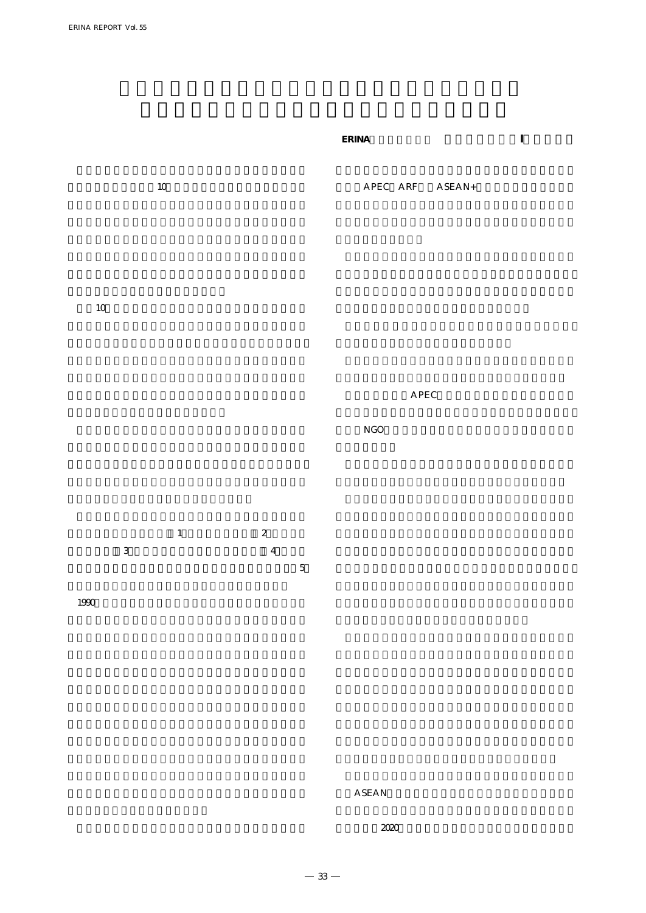$10$  $APEC$   $ARF$   $ASEAN+$ 

**ERINA調査研究部部長 ウラジーミル・I・イワノフ**

APEC

 $10$ 

 $NGO$ 

 $1$  2  $3$  and  $4$ 

 $1990$ 

 $5\,$ 

 $ASEAN$ 

 $-33-$